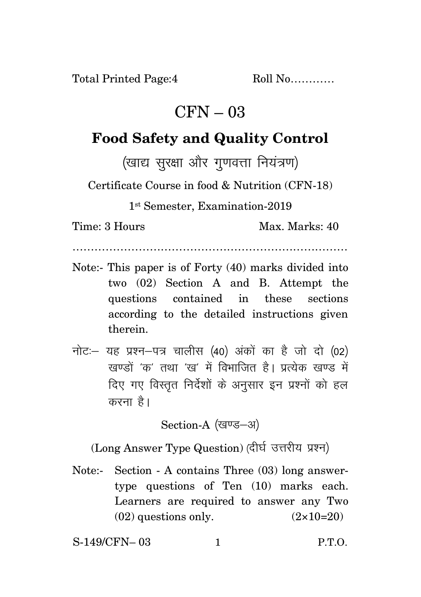Total Printed Page:4 Roll No............

## $CFN - 03$

## **Food Safety and Quality Control**

(खाद्य सुरक्षा और गुणवत्ता नियंत्रण)

Certificate Course in food & Nutrition (CFN-18)

1 st Semester, Examination-2019

Time: 3 Hours Max. Marks: 40

…………………………………………………………………

- Note:- This paper is of Forty (40) marks divided into two (02) Section A and B. Attempt the questions contained in these sections according to the detailed instructions given therein.
- नोट: यह प्रश्न-पत्र चालीस (40) अंकों का है जो दो (02) रवण्डों 'क' तथा 'रव' में विभाजित है। प्रत्येक रवण्ड में दिए गए विस्तृत निर्देशों के अनुसार इन प्रश्नों को हल करना $\hat{g}$ ।

Section-A (खण्ड-अ)

(Long Answer Type Question) (दीर्घ उत्तरीय प्रश्न)

Note:- Section - A contains Three (03) long answertype questions of Ten (10) marks each. Learners are required to answer any Two  $(02)$  questions only.  $(2 \times 10=20)$ 

S-149/CFN– 03 1 P.T.O.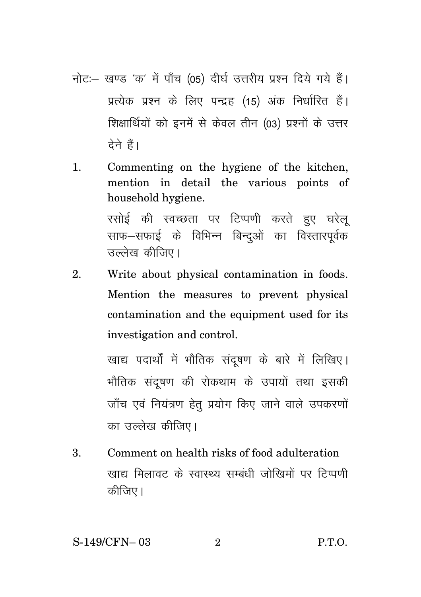- नोट:- खण्ड 'क' में पाँच (05) दीर्घ उत्तरीय प्रश्न दिये गये हैं। प्रत्येक प्रश्न के लिए पन्द्रह (15) अंक निर्धारित हैं। शिक्षार्थियों को इनमें से केवल तीन (03) प्रश्नों के उत्तर टेने हैं।
- Commenting on the hygiene of the kitchen.  $\mathbf{1}$ mention in detail the various points of household hygiene.

रसोई की स्वच्छता पर टिप्पणी करते हुए घरेलू साफ–सफाई के विभिन्न बिन्दओं का विस्तारपूर्वक उल्लेख कीजिए।

Write about physical contamination in foods.  $2.$ Mention the measures to prevent physical contamination and the equipment used for its investigation and control.

> खाद्य पदार्थों में भौतिक संदुषण के बारे में लिखिए। भौतिक संदुषण की रोकथाम के उपायों तथा इसकी जाँच एवं नियंत्रण हेतु प्रयोग किए जाने वाले उपकरणों का उल्लेख कीजिए।

3. Comment on health risks of food adulteration खाद्य मिलावट के स्वास्थ्य सम्बंधी जोखिमों पर टिप्पणी कीजिए।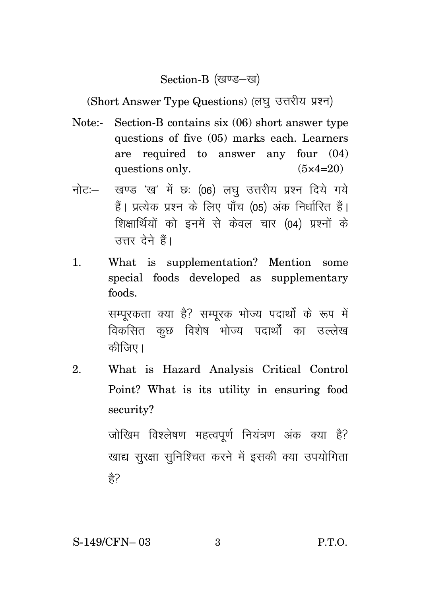## Section-B (खण्ड-ख)

(Short Answer Type Questions) (लघु उत्तरीय प्रश्न)

- Note:- Section-B contains six (06) short answer type questions of five (05) marks each. Learners are required to answer any four (04) questions only.  $(5 \times 4=20)$
- नोट: खण्ड 'ख' में छः (06) लघु उत्तरीय प्रश्न दिये गये हैं। प्रत्येक प्रश्न के लिए पाँच (05) अंक निर्धारित हैं। शिक्षार्थियों को इनमें से केवल चार (04) प्रश्नों के उत्तर देने हैं।
- 1. What is supplementation? Mention some special foods developed as supplementary foods.

सम्परकता क्या है? सम्परक भोज्य पदार्थों के रूप में विकसित कछ विशेष भोज्य पदार्थों का उल्लेख कीजिए।

2. What is Hazard Analysis Critical Control Point? What is its utility in ensuring food security?

> जोखिम विश्लेषण महत्वपूर्ण नियंत्रण अंक क्या है? खाद्य सुरक्षा सुनिश्चित करने में इसकी क्या उपयोगिता हे?